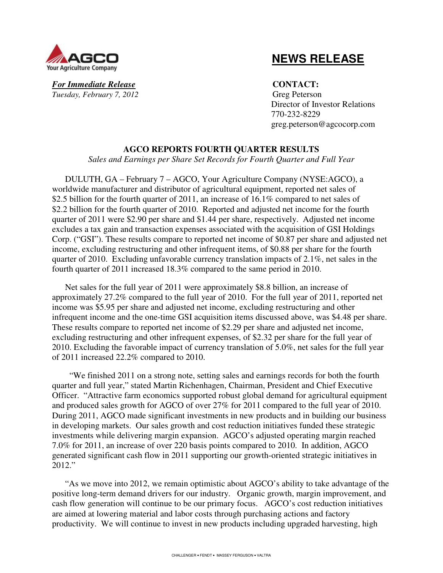

 **NEWS RELEASE**

*For Immediate Release* **CONTACT:** *Tuesday, February 7, 2012* Greg Peterson

 Director of Investor Relations 770-232-8229 greg.peterson@agcocorp.com

# **AGCO REPORTS FOURTH QUARTER RESULTS**

*Sales and Earnings per Share Set Records for Fourth Quarter and Full Year* 

DULUTH, GA – February 7 – AGCO, Your Agriculture Company (NYSE:AGCO), a worldwide manufacturer and distributor of agricultural equipment, reported net sales of \$2.5 billion for the fourth quarter of 2011, an increase of 16.1% compared to net sales of \$2.2 billion for the fourth quarter of 2010. Reported and adjusted net income for the fourth quarter of 2011 were \$2.90 per share and \$1.44 per share, respectively. Adjusted net income excludes a tax gain and transaction expenses associated with the acquisition of GSI Holdings Corp. ("GSI"). These results compare to reported net income of \$0.87 per share and adjusted net income, excluding restructuring and other infrequent items, of \$0.88 per share for the fourth quarter of 2010. Excluding unfavorable currency translation impacts of 2.1%, net sales in the fourth quarter of 2011 increased 18.3% compared to the same period in 2010.

Net sales for the full year of 2011 were approximately \$8.8 billion, an increase of approximately 27.2% compared to the full year of 2010. For the full year of 2011, reported net income was \$5.95 per share and adjusted net income, excluding restructuring and other infrequent income and the one-time GSI acquisition items discussed above, was \$4.48 per share. These results compare to reported net income of \$2.29 per share and adjusted net income, excluding restructuring and other infrequent expenses, of \$2.32 per share for the full year of 2010. Excluding the favorable impact of currency translation of 5.0%, net sales for the full year of 2011 increased 22.2% compared to 2010.

 "We finished 2011 on a strong note, setting sales and earnings records for both the fourth quarter and full year," stated Martin Richenhagen, Chairman, President and Chief Executive Officer. "Attractive farm economics supported robust global demand for agricultural equipment and produced sales growth for AGCO of over 27% for 2011 compared to the full year of 2010. During 2011, AGCO made significant investments in new products and in building our business in developing markets. Our sales growth and cost reduction initiatives funded these strategic investments while delivering margin expansion. AGCO's adjusted operating margin reached 7.0% for 2011, an increase of over 220 basis points compared to 2010. In addition, AGCO generated significant cash flow in 2011 supporting our growth-oriented strategic initiatives in 2012."

"As we move into 2012, we remain optimistic about AGCO's ability to take advantage of the positive long-term demand drivers for our industry. Organic growth, margin improvement, and cash flow generation will continue to be our primary focus. AGCO's cost reduction initiatives are aimed at lowering material and labor costs through purchasing actions and factory productivity. We will continue to invest in new products including upgraded harvesting, high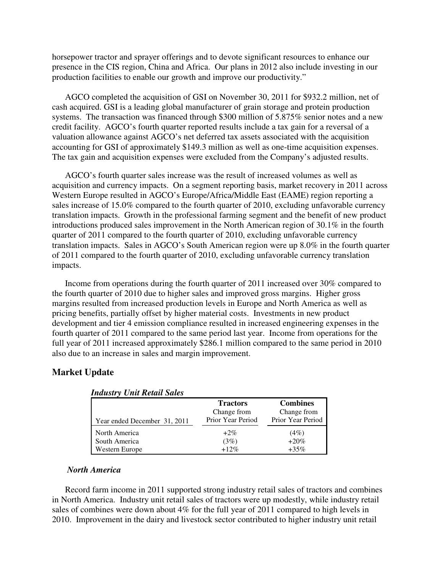horsepower tractor and sprayer offerings and to devote significant resources to enhance our presence in the CIS region, China and Africa. Our plans in 2012 also include investing in our production facilities to enable our growth and improve our productivity."

AGCO completed the acquisition of GSI on November 30, 2011 for \$932.2 million, net of cash acquired. GSI is a leading global manufacturer of grain storage and protein production systems. The transaction was financed through \$300 million of 5.875% senior notes and a new credit facility. AGCO's fourth quarter reported results include a tax gain for a reversal of a valuation allowance against AGCO's net deferred tax assets associated with the acquisition accounting for GSI of approximately \$149.3 million as well as one-time acquisition expenses. The tax gain and acquisition expenses were excluded from the Company's adjusted results.

AGCO's fourth quarter sales increase was the result of increased volumes as well as acquisition and currency impacts. On a segment reporting basis, market recovery in 2011 across Western Europe resulted in AGCO's Europe/Africa/Middle East (EAME) region reporting a sales increase of 15.0% compared to the fourth quarter of 2010, excluding unfavorable currency translation impacts. Growth in the professional farming segment and the benefit of new product introductions produced sales improvement in the North American region of 30.1% in the fourth quarter of 2011 compared to the fourth quarter of 2010, excluding unfavorable currency translation impacts. Sales in AGCO's South American region were up 8.0% in the fourth quarter of 2011 compared to the fourth quarter of 2010, excluding unfavorable currency translation impacts.

Income from operations during the fourth quarter of 2011 increased over 30% compared to the fourth quarter of 2010 due to higher sales and improved gross margins. Higher gross margins resulted from increased production levels in Europe and North America as well as pricing benefits, partially offset by higher material costs. Investments in new product development and tier 4 emission compliance resulted in increased engineering expenses in the fourth quarter of 2011 compared to the same period last year. Income from operations for the full year of 2011 increased approximately \$286.1 million compared to the same period in 2010 also due to an increase in sales and margin improvement.

# **Market Update**

| Year ended December 31, 2011    | <b>Tractors</b><br>Change from<br>Prior Year Period | <b>Combines</b><br>Change from<br>Prior Year Period |
|---------------------------------|-----------------------------------------------------|-----------------------------------------------------|
| North America                   | $+2\%$                                              | (4%)                                                |
| South America<br>Western Europe | (3%)<br>$+12%$                                      | $+20%$<br>$+35\%$                                   |

|  | <b>Industry Unit Retail Sales</b> |
|--|-----------------------------------|
|--|-----------------------------------|

# *North America*

Record farm income in 2011 supported strong industry retail sales of tractors and combines in North America. Industry unit retail sales of tractors were up modestly, while industry retail sales of combines were down about 4% for the full year of 2011 compared to high levels in 2010. Improvement in the dairy and livestock sector contributed to higher industry unit retail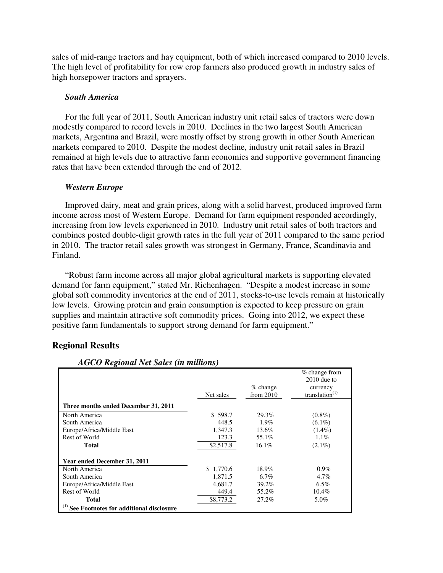sales of mid-range tractors and hay equipment, both of which increased compared to 2010 levels. The high level of profitability for row crop farmers also produced growth in industry sales of high horsepower tractors and sprayers.

## *South America*

For the full year of 2011, South American industry unit retail sales of tractors were down modestly compared to record levels in 2010. Declines in the two largest South American markets, Argentina and Brazil, were mostly offset by strong growth in other South American markets compared to 2010. Despite the modest decline, industry unit retail sales in Brazil remained at high levels due to attractive farm economics and supportive government financing rates that have been extended through the end of 2012.

## *Western Europe*

Improved dairy, meat and grain prices, along with a solid harvest, produced improved farm income across most of Western Europe. Demand for farm equipment responded accordingly, increasing from low levels experienced in 2010. Industry unit retail sales of both tractors and combines posted double-digit growth rates in the full year of 2011 compared to the same period in 2010. The tractor retail sales growth was strongest in Germany, France, Scandinavia and Finland.

"Robust farm income across all major global agricultural markets is supporting elevated demand for farm equipment," stated Mr. Richenhagen. "Despite a modest increase in some global soft commodity inventories at the end of 2011, stocks-to-use levels remain at historically low levels. Growing protein and grain consumption is expected to keep pressure on grain supplies and maintain attractive soft commodity prices. Going into 2012, we expect these positive farm fundamentals to support strong demand for farm equipment."

| <b>AGCO Regional Net Sales (in millions)</b> |           |             |                   |  |  |  |
|----------------------------------------------|-----------|-------------|-------------------|--|--|--|
|                                              |           |             | $%$ change from   |  |  |  |
|                                              |           |             | $2010$ due to     |  |  |  |
|                                              |           | $%$ change  | currency          |  |  |  |
|                                              | Net sales | from $2010$ | translation $(1)$ |  |  |  |
| Three months ended December 31, 2011         |           |             |                   |  |  |  |
| North America                                | \$598.7   | 29.3%       | $(0.8\%)$         |  |  |  |
| South America                                | 448.5     | 1.9%        | $(6.1\%)$         |  |  |  |
| Europe/Africa/Middle East                    | 1,347.3   | 13.6%       | $(1.4\%)$         |  |  |  |
| Rest of World                                | 123.3     | 55.1%       | $1.1\%$           |  |  |  |
| <b>Total</b>                                 | \$2,517.8 | 16.1%       | $(2.1\%)$         |  |  |  |
| <b>Year ended December 31, 2011</b>          |           |             |                   |  |  |  |
| North America                                | \$1,770.6 | 18.9%       | $0.9\%$           |  |  |  |
| South America                                | 1,871.5   | $6.7\%$     | 4.7%              |  |  |  |
| Europe/Africa/Middle East                    | 4,681.7   | 39.2%       | $6.5\%$           |  |  |  |
| Rest of World                                | 449.4     | 55.2%       | 10.4%             |  |  |  |
| <b>Total</b>                                 | \$8,773.2 | 27.2%       | 5.0%              |  |  |  |
| See Footnotes for additional disclosure      |           |             |                   |  |  |  |

# **Regional Results**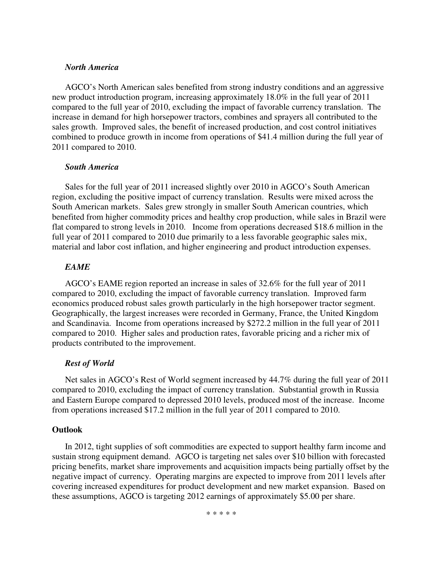# *North America*

AGCO's North American sales benefited from strong industry conditions and an aggressive new product introduction program, increasing approximately 18.0% in the full year of 2011 compared to the full year of 2010, excluding the impact of favorable currency translation. The increase in demand for high horsepower tractors, combines and sprayers all contributed to the sales growth. Improved sales, the benefit of increased production, and cost control initiatives combined to produce growth in income from operations of \$41.4 million during the full year of 2011 compared to 2010.

## *South America*

Sales for the full year of 2011 increased slightly over 2010 in AGCO's South American region, excluding the positive impact of currency translation. Results were mixed across the South American markets. Sales grew strongly in smaller South American countries, which benefited from higher commodity prices and healthy crop production, while sales in Brazil were flat compared to strong levels in 2010. Income from operations decreased \$18.6 million in the full year of 2011 compared to 2010 due primarily to a less favorable geographic sales mix, material and labor cost inflation, and higher engineering and product introduction expenses.

# *EAME*

AGCO's EAME region reported an increase in sales of 32.6% for the full year of 2011 compared to 2010, excluding the impact of favorable currency translation. Improved farm economics produced robust sales growth particularly in the high horsepower tractor segment. Geographically, the largest increases were recorded in Germany, France, the United Kingdom and Scandinavia. Income from operations increased by \$272.2 million in the full year of 2011 compared to 2010. Higher sales and production rates, favorable pricing and a richer mix of products contributed to the improvement.

# *Rest of World*

Net sales in AGCO's Rest of World segment increased by 44.7% during the full year of 2011 compared to 2010, excluding the impact of currency translation. Substantial growth in Russia and Eastern Europe compared to depressed 2010 levels, produced most of the increase. Income from operations increased \$17.2 million in the full year of 2011 compared to 2010.

## **Outlook**

In 2012, tight supplies of soft commodities are expected to support healthy farm income and sustain strong equipment demand. AGCO is targeting net sales over \$10 billion with forecasted pricing benefits, market share improvements and acquisition impacts being partially offset by the negative impact of currency. Operating margins are expected to improve from 2011 levels after covering increased expenditures for product development and new market expansion. Based on these assumptions, AGCO is targeting 2012 earnings of approximately \$5.00 per share.

\* \* \* \* \*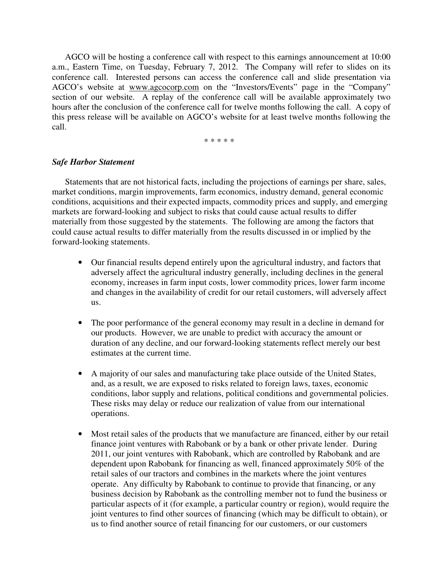AGCO will be hosting a conference call with respect to this earnings announcement at 10:00 a.m., Eastern Time, on Tuesday, February 7, 2012. The Company will refer to slides on its conference call. Interested persons can access the conference call and slide presentation via AGCO's website at www.agcocorp.com on the "Investors/Events" page in the "Company" section of our website. A replay of the conference call will be available approximately two hours after the conclusion of the conference call for twelve months following the call. A copy of this press release will be available on AGCO's website for at least twelve months following the call.

\* \* \* \* \*

#### *Safe Harbor Statement*

Statements that are not historical facts, including the projections of earnings per share, sales, market conditions, margin improvements, farm economics, industry demand, general economic conditions, acquisitions and their expected impacts, commodity prices and supply, and emerging markets are forward-looking and subject to risks that could cause actual results to differ materially from those suggested by the statements. The following are among the factors that could cause actual results to differ materially from the results discussed in or implied by the forward-looking statements.

- Our financial results depend entirely upon the agricultural industry, and factors that adversely affect the agricultural industry generally, including declines in the general economy, increases in farm input costs, lower commodity prices, lower farm income and changes in the availability of credit for our retail customers, will adversely affect us.
- The poor performance of the general economy may result in a decline in demand for our products. However, we are unable to predict with accuracy the amount or duration of any decline, and our forward-looking statements reflect merely our best estimates at the current time.
- A majority of our sales and manufacturing take place outside of the United States, and, as a result, we are exposed to risks related to foreign laws, taxes, economic conditions, labor supply and relations, political conditions and governmental policies. These risks may delay or reduce our realization of value from our international operations.
- Most retail sales of the products that we manufacture are financed, either by our retail finance joint ventures with Rabobank or by a bank or other private lender. During 2011, our joint ventures with Rabobank, which are controlled by Rabobank and are dependent upon Rabobank for financing as well, financed approximately 50% of the retail sales of our tractors and combines in the markets where the joint ventures operate. Any difficulty by Rabobank to continue to provide that financing, or any business decision by Rabobank as the controlling member not to fund the business or particular aspects of it (for example, a particular country or region), would require the joint ventures to find other sources of financing (which may be difficult to obtain), or us to find another source of retail financing for our customers, or our customers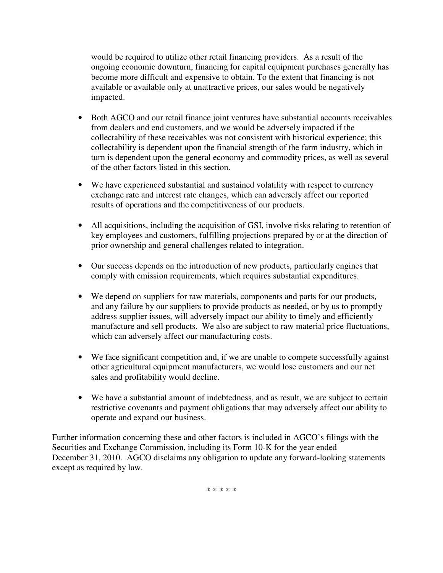would be required to utilize other retail financing providers. As a result of the ongoing economic downturn, financing for capital equipment purchases generally has become more difficult and expensive to obtain. To the extent that financing is not available or available only at unattractive prices, our sales would be negatively impacted.

- Both AGCO and our retail finance joint ventures have substantial accounts receivables from dealers and end customers, and we would be adversely impacted if the collectability of these receivables was not consistent with historical experience; this collectability is dependent upon the financial strength of the farm industry, which in turn is dependent upon the general economy and commodity prices, as well as several of the other factors listed in this section.
- We have experienced substantial and sustained volatility with respect to currency exchange rate and interest rate changes, which can adversely affect our reported results of operations and the competitiveness of our products.
- All acquisitions, including the acquisition of GSI, involve risks relating to retention of key employees and customers, fulfilling projections prepared by or at the direction of prior ownership and general challenges related to integration.
- Our success depends on the introduction of new products, particularly engines that comply with emission requirements, which requires substantial expenditures.
- We depend on suppliers for raw materials, components and parts for our products, and any failure by our suppliers to provide products as needed, or by us to promptly address supplier issues, will adversely impact our ability to timely and efficiently manufacture and sell products. We also are subject to raw material price fluctuations, which can adversely affect our manufacturing costs.
- We face significant competition and, if we are unable to compete successfully against other agricultural equipment manufacturers, we would lose customers and our net sales and profitability would decline.
- We have a substantial amount of indebtedness, and as result, we are subject to certain restrictive covenants and payment obligations that may adversely affect our ability to operate and expand our business.

Further information concerning these and other factors is included in AGCO's filings with the Securities and Exchange Commission, including its Form 10-K for the year ended December 31, 2010. AGCO disclaims any obligation to update any forward-looking statements except as required by law.

\* \* \* \* \*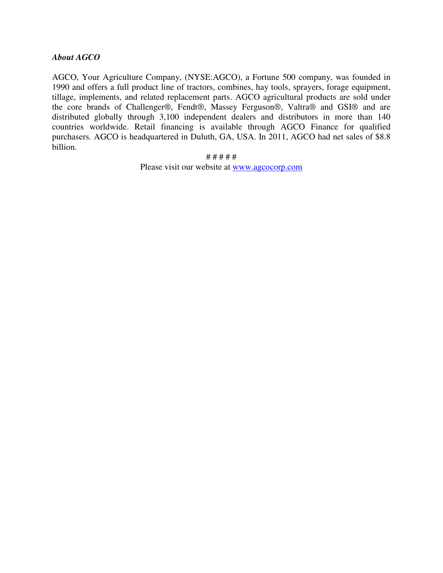# *About AGCO*

AGCO, Your Agriculture Company, (NYSE:AGCO), a Fortune 500 company, was founded in 1990 and offers a full product line of tractors, combines, hay tools, sprayers, forage equipment, tillage, implements, and related replacement parts. AGCO agricultural products are sold under the core brands of Challenger®, Fendt®, Massey Ferguson®, Valtra® and GSI® and are distributed globally through 3,100 independent dealers and distributors in more than 140 countries worldwide. Retail financing is available through AGCO Finance for qualified purchasers. AGCO is headquartered in Duluth, GA, USA. In 2011, AGCO had net sales of \$8.8 billion.

> # # # # # Please visit our website at www.agcocorp.com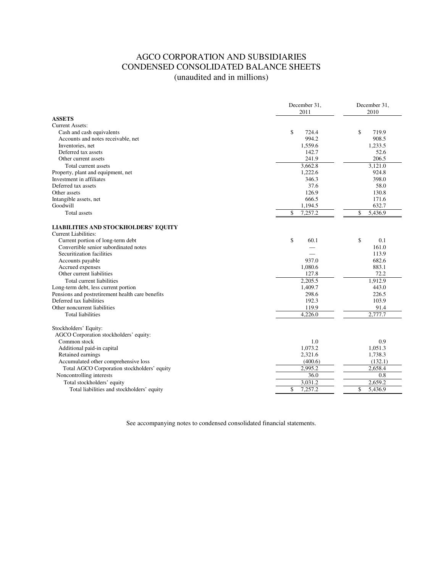# AGCO CORPORATION AND SUBSIDIARIES CONDENSED CONSOLIDATED BALANCE SHEETS (unaudited and in millions)

|                                                                            | December 31,<br>2011 | December 31,<br>2010 |  |
|----------------------------------------------------------------------------|----------------------|----------------------|--|
| <b>ASSETS</b>                                                              |                      |                      |  |
| <b>Current Assets:</b>                                                     |                      |                      |  |
| Cash and cash equivalents                                                  | \$<br>724.4          | \$<br>719.9          |  |
| Accounts and notes receivable, net                                         | 994.2                | 908.5                |  |
| Inventories, net                                                           | 1,559.6              | 1.233.5              |  |
| Deferred tax assets                                                        | 142.7                | 52.6                 |  |
| Other current assets                                                       | 241.9                | 206.5                |  |
| Total current assets                                                       | 3,662.8              | 3,121.0              |  |
| Property, plant and equipment, net                                         | 1,222.6              | 924.8                |  |
| Investment in affiliates                                                   | 346.3                | 398.0                |  |
| Deferred tax assets                                                        | 37.6                 | 58.0                 |  |
| Other assets                                                               | 126.9                | 130.8                |  |
| Intangible assets, net                                                     | 666.5                | 171.6                |  |
| Goodwill                                                                   | 1,194.5              | 632.7                |  |
| Total assets                                                               | 7,257.2<br>\$        | \$<br>5,436.9        |  |
| <b>LIABILITIES AND STOCKHOLDERS' EQUITY</b><br><b>Current Liabilities:</b> |                      |                      |  |
| Current portion of long-term debt                                          | \$<br>60.1           | \$<br>0.1            |  |
| Convertible senior subordinated notes                                      |                      | 161.0                |  |
| Securitization facilities                                                  |                      | 113.9                |  |
| Accounts payable                                                           | 937.0                | 682.6                |  |
| Accrued expenses                                                           | 1,080.6              | 883.1                |  |
| Other current liabilities                                                  | 127.8                | 72.2                 |  |
| Total current liabilities                                                  | 2,205.5              | 1,912.9              |  |
| Long-term debt, less current portion                                       | 1,409.7              | 443.0                |  |
| Pensions and postretirement health care benefits                           | 298.6                | 226.5                |  |
| Deferred tax liabilities                                                   | 192.3                | 103.9                |  |
| Other noncurrent liabilities                                               | 119.9                | 91.4                 |  |
| <b>Total liabilities</b>                                                   | 4,226.0              | 2,777.7              |  |
| Stockholders' Equity:<br>AGCO Corporation stockholders' equity:            |                      |                      |  |
| Common stock                                                               | 1.0                  | 0.9                  |  |
| Additional paid-in capital                                                 | 1,073.2              | 1,051.3              |  |
| Retained earnings                                                          | 2,321.6              | 1,738.3              |  |
| Accumulated other comprehensive loss                                       | (400.6)              | (132.1)              |  |
| Total AGCO Corporation stockholders' equity                                | 2,995.2              | 2,658.4              |  |
| Noncontrolling interests                                                   | 36.0                 | 0.8                  |  |
| Total stockholders' equity                                                 | 3,031.2              | 2,659.2              |  |
| Total liabilities and stockholders' equity                                 | \$<br>7,257.2        | \$<br>5,436.9        |  |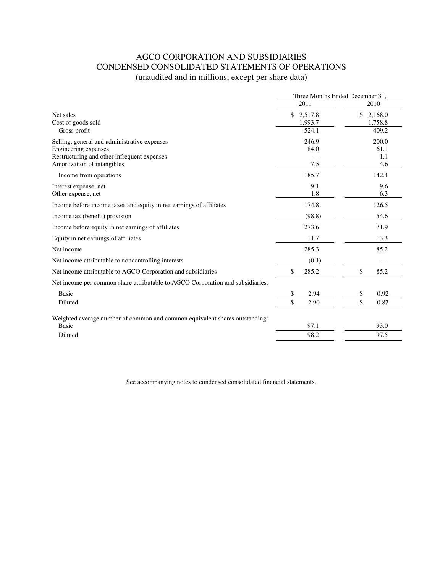# AGCO CORPORATION AND SUBSIDIARIES CONDENSED CONSOLIDATED STATEMENTS OF OPERATIONS (unaudited and in millions, except per share data)

|                                                                                | Three Months Ended December 31, |               |  |
|--------------------------------------------------------------------------------|---------------------------------|---------------|--|
|                                                                                | 2011                            | 2010          |  |
| Net sales                                                                      | \$<br>2,517.8                   | \$<br>2,168.0 |  |
| Cost of goods sold                                                             | 1,993.7                         | 1,758.8       |  |
| Gross profit                                                                   | 524.1                           | 409.2         |  |
| Selling, general and administrative expenses                                   | 246.9                           | 200.0         |  |
| Engineering expenses                                                           | 84.0                            | 61.1          |  |
| Restructuring and other infrequent expenses<br>Amortization of intangibles     | 7.5                             | 1.1<br>4.6    |  |
|                                                                                |                                 |               |  |
| Income from operations                                                         | 185.7                           | 142.4         |  |
| Interest expense, net                                                          | 9.1                             | 9.6           |  |
| Other expense, net                                                             | 1.8                             | 6.3           |  |
| Income before income taxes and equity in net earnings of affiliates            | 174.8                           | 126.5         |  |
| Income tax (benefit) provision                                                 | (98.8)                          | 54.6          |  |
| Income before equity in net earnings of affiliates                             | 273.6                           | 71.9          |  |
| Equity in net earnings of affiliates                                           | 11.7                            | 13.3          |  |
| Net income                                                                     | 285.3                           | 85.2          |  |
| Net income attributable to noncontrolling interests                            | (0.1)                           |               |  |
| Net income attributable to AGCO Corporation and subsidiaries                   | \$<br>285.2                     | \$<br>85.2    |  |
| Net income per common share attributable to AGCO Corporation and subsidiaries: |                                 |               |  |
| <b>Basic</b>                                                                   | \$<br>2.94                      | \$<br>0.92    |  |
| Diluted                                                                        | $\mathcal{S}$<br>2.90           | \$<br>0.87    |  |
| Weighted average number of common and common equivalent shares outstanding:    |                                 |               |  |
| <b>Basic</b>                                                                   | 97.1                            | 93.0          |  |
| Diluted                                                                        | 98.2                            | 97.5          |  |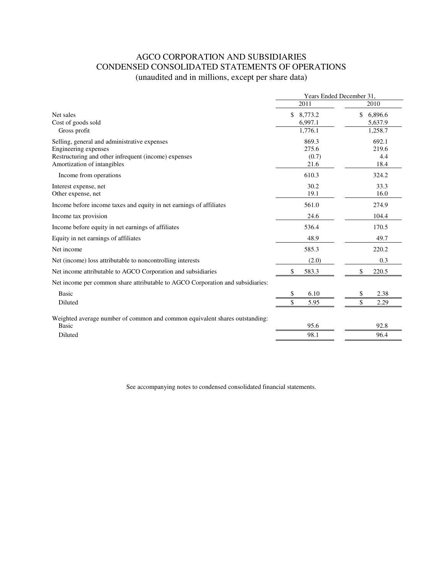# AGCO CORPORATION AND SUBSIDIARIES CONDENSED CONSOLIDATED STATEMENTS OF OPERATIONS (unaudited and in millions, except per share data)

|                                                                                | Years Ended December 31.   |               |  |
|--------------------------------------------------------------------------------|----------------------------|---------------|--|
|                                                                                | 2011                       | 2010          |  |
| Net sales                                                                      | \$<br>8,773.2              | \$<br>6,896.6 |  |
| Cost of goods sold                                                             | 6,997.1                    | 5,637.9       |  |
| Gross profit                                                                   | 1,776.1                    | 1,258.7       |  |
| Selling, general and administrative expenses                                   | 869.3                      | 692.1         |  |
| Engineering expenses                                                           | 275.6                      | 219.6         |  |
| Restructuring and other infrequent (income) expenses                           | (0.7)                      | 4.4           |  |
| Amortization of intangibles                                                    | 21.6                       | 18.4          |  |
| Income from operations                                                         | 610.3                      | 324.2         |  |
| Interest expense, net                                                          | 30.2                       | 33.3          |  |
| Other expense, net                                                             | 19.1                       | 16.0          |  |
| Income before income taxes and equity in net earnings of affiliates            | 561.0                      | 274.9         |  |
| Income tax provision                                                           | 24.6                       | 104.4         |  |
| Income before equity in net earnings of affiliates                             | 536.4                      | 170.5         |  |
| Equity in net earnings of affiliates                                           | 48.9                       | 49.7          |  |
| Net income                                                                     | 585.3                      | 220.2         |  |
| Net (income) loss attributable to noncontrolling interests                     | (2.0)                      | 0.3           |  |
| Net income attributable to AGCO Corporation and subsidiaries                   | 583.3<br>\$                | \$<br>220.5   |  |
| Net income per common share attributable to AGCO Corporation and subsidiaries: |                            |               |  |
| <b>Basic</b>                                                                   | 6.10<br>\$                 | 2.38<br>\$    |  |
| Diluted                                                                        | $\mathbf{\hat{S}}$<br>5.95 | \$<br>2.29    |  |
| Weighted average number of common and common equivalent shares outstanding:    |                            |               |  |
| <b>Basic</b>                                                                   | 95.6                       | 92.8          |  |
| Diluted                                                                        | 98.1                       | 96.4          |  |
|                                                                                |                            |               |  |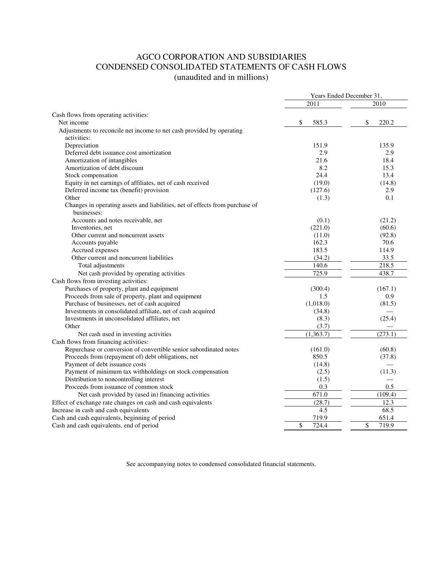# AGCO CORPORATION AND SUBSIDIARIES CONDENSED CONSOLIDATED STATEMENTS OF CASH FLOWS (unaudited and in millions)

|                                                                                                             | Years Ended December 31, |             |  |
|-------------------------------------------------------------------------------------------------------------|--------------------------|-------------|--|
|                                                                                                             | 2011                     | 2010        |  |
| Cash flows from operating activities:                                                                       |                          |             |  |
| Net income                                                                                                  | \$<br>585.3              | \$<br>220.2 |  |
| Adjustments to reconcile net income to net cash provided by operating                                       |                          |             |  |
| activities:                                                                                                 |                          |             |  |
| Depreciation                                                                                                | 151.9                    | 135.9       |  |
| Deferred debt issuance cost amortization                                                                    | 2.9                      | 2.9         |  |
| Amortization of intangibles                                                                                 | 21.6                     | 18.4        |  |
| Amortization of debt discount                                                                               | 8.2                      | 15.3        |  |
| Stock compensation                                                                                          | 24.4                     | 13.4        |  |
| Equity in net earnings of affiliates, net of cash received                                                  | (19.0)                   | (14.8)      |  |
| Deferred income tax (benefit) provision                                                                     | (127.6)                  | 2.9         |  |
| Other                                                                                                       | (1.3)                    | 0.1         |  |
| Changes in operating assets and liabilities, net of effects from purchase of                                |                          |             |  |
| businesses:                                                                                                 |                          |             |  |
| Accounts and notes receivable, net                                                                          | (0.1)                    | (21.2)      |  |
| Inventories, net                                                                                            | (221.0)                  | (60.6)      |  |
| Other current and noncurrent assets                                                                         | (11.0)                   | (92.8)      |  |
| Accounts payable                                                                                            | 162.3                    | 70.6        |  |
| Accrued expenses                                                                                            | 183.5                    | 114.9       |  |
| Other current and noncurrent liabilities                                                                    | (34.2)                   | 33.5        |  |
| Total adjustments                                                                                           | 140.6                    | 218.5       |  |
| Net cash provided by operating activities                                                                   | 725.9                    | 438.7       |  |
| Cash flows from investing activities:                                                                       |                          |             |  |
| Purchases of property, plant and equipment                                                                  | (300.4)                  | (167.1)     |  |
| Proceeds from sale of property, plant and equipment                                                         |                          | 0.9         |  |
|                                                                                                             | 1.5<br>(1,018.0)         |             |  |
| Purchase of businesses, net of cash acquired<br>Investments in consolidated affiliate, net of cash acquired |                          | (81.5)      |  |
|                                                                                                             | (34.8)                   | (25.4)      |  |
| Investments in unconsolidated affiliates, net                                                               | (8.3)                    |             |  |
| Other                                                                                                       | (3.7)                    |             |  |
| Net cash used in investing activities                                                                       | (1,363.7)                | (273.1)     |  |
| Cash flows from financing activities:                                                                       |                          |             |  |
| Repurchase or conversion of convertible senior subordinated notes                                           | (161.0)                  | (60.8)      |  |
| Proceeds from (repayment of) debt obligations, net                                                          | 850.5                    | (37.8)      |  |
| Payment of debt issuance costs                                                                              | (14.8)                   |             |  |
| Payment of minimum tax withholdings on stock compensation                                                   | (2.5)                    | (11.3)      |  |
| Distribution to noncontrolling interest                                                                     | (1.5)                    |             |  |
| Proceeds from issuance of common stock                                                                      | 0.3                      | 0.5         |  |
| Net cash provided by (used in) financing activities                                                         | 671.0                    | (109.4)     |  |
| Effect of exchange rate changes on cash and cash equivalents                                                | (28.7)                   | 12.3        |  |
| Increase in cash and cash equivalents                                                                       | 4.5                      | 68.5        |  |
| Cash and cash equivalents, beginning of period                                                              | 719.9                    | 651.4       |  |
| Cash and cash equivalents, end of period                                                                    | \$<br>724.4              | \$<br>719.9 |  |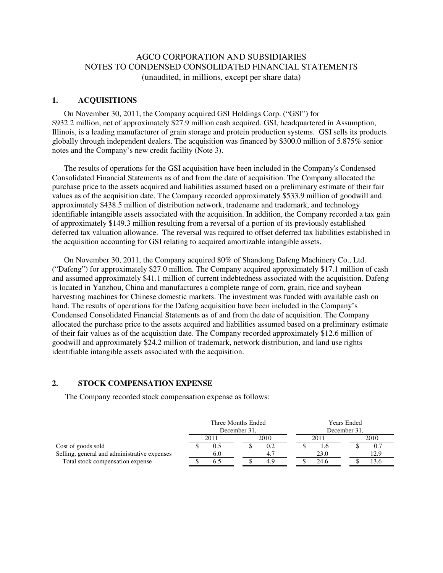# AGCO CORPORATION AND SUBSIDIARIES NOTES TO CONDENSED CONSOLIDATED FINANCIAL STATEMENTS (unaudited, in millions, except per share data)

## **1. ACQUISITIONS**

 On November 30, 2011, the Company acquired GSI Holdings Corp. ("GSI") for \$932.2 million, net of approximately \$27.9 million cash acquired. GSI, headquartered in Assumption, Illinois, is a leading manufacturer of grain storage and protein production systems. GSI sells its products globally through independent dealers. The acquisition was financed by \$300.0 million of 5.875% senior notes and the Company's new credit facility (Note 3).

 The results of operations for the GSI acquisition have been included in the Company's Condensed Consolidated Financial Statements as of and from the date of acquisition. The Company allocated the purchase price to the assets acquired and liabilities assumed based on a preliminary estimate of their fair values as of the acquisition date. The Company recorded approximately \$533.9 million of goodwill and approximately \$438.5 million of distribution network, tradename and trademark, and technology identifiable intangible assets associated with the acquisition. In addition, the Company recorded a tax gain of approximately \$149.3 million resulting from a reversal of a portion of its previously established deferred tax valuation allowance. The reversal was required to offset deferred tax liabilities established in the acquisition accounting for GSI relating to acquired amortizable intangible assets.

 On November 30, 2011, the Company acquired 80% of Shandong Dafeng Machinery Co., Ltd. ("Dafeng") for approximately \$27.0 million. The Company acquired approximately \$17.1 million of cash and assumed approximately \$41.1 million of current indebtedness associated with the acquisition. Dafeng is located in Yanzhou, China and manufactures a complete range of corn, grain, rice and soybean harvesting machines for Chinese domestic markets. The investment was funded with available cash on hand. The results of operations for the Dafeng acquisition have been included in the Company's Condensed Consolidated Financial Statements as of and from the date of acquisition. The Company allocated the purchase price to the assets acquired and liabilities assumed based on a preliminary estimate of their fair values as of the acquisition date. The Company recorded approximately \$12.6 million of goodwill and approximately \$24.2 million of trademark, network distribution, and land use rights identifiable intangible assets associated with the acquisition.

## **2. STOCK COMPENSATION EXPENSE**

The Company recorded stock compensation expense as follows:

|                                              | Three Months Ended<br>December 31. |      | <b>Years Ended</b><br>December 31. |  |      |  |      |
|----------------------------------------------|------------------------------------|------|------------------------------------|--|------|--|------|
|                                              |                                    | 2011 | 2010                               |  | 2011 |  | 2010 |
| Cost of goods sold                           |                                    |      | 0.2                                |  |      |  | 0.7  |
| Selling, general and administrative expenses |                                    | 6.0  | 4.7                                |  | 23.0 |  | 12.9 |
| Total stock compensation expense             |                                    |      | 4.9                                |  | 24.6 |  | 13.0 |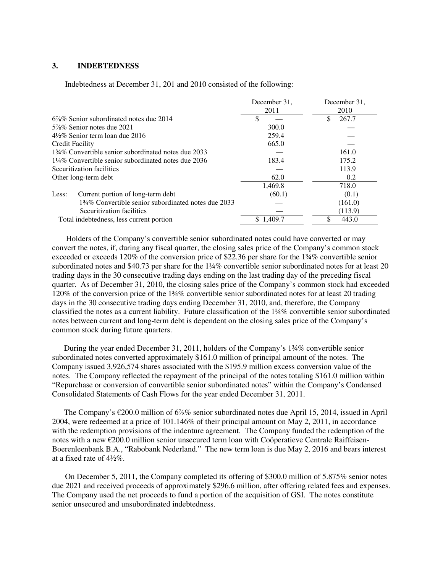## **3. INDEBTEDNESS**

Indebtedness at December 31, 201 and 2010 consisted of the following:

|                                                      | December 31, | December 31, |
|------------------------------------------------------|--------------|--------------|
|                                                      | 2011         | 2010         |
| $6\%$ % Senior subordinated notes due 2014           |              | \$<br>267.7  |
| $5\%$ % Senior notes due 2021                        | 300.0        |              |
| $4\frac{1}{2}\%$ Senior term loan due 2016           | 259.4        |              |
| Credit Facility                                      | 665.0        |              |
| 134\% Convertible senior subordinated notes due 2033 |              | 161.0        |
| 1¼% Convertible senior subordinated notes due 2036   | 183.4        | 175.2        |
| Securitization facilities                            |              | 113.9        |
| Other long-term debt                                 | 62.0         | 0.2          |
|                                                      | 1.469.8      | 718.0        |
| Current portion of long-term debt<br>Less:           | (60.1)       | (0.1)        |
| 134\% Convertible senior subordinated notes due 2033 |              | (161.0)      |
| Securitization facilities                            |              | (113.9)      |
| Total indebtedness, less current portion             | \$1,409.7    | 443.0        |

 Holders of the Company's convertible senior subordinated notes could have converted or may convert the notes, if, during any fiscal quarter, the closing sales price of the Company's common stock exceeded or exceeds 120% of the conversion price of \$22.36 per share for the 1¾% convertible senior subordinated notes and \$40.73 per share for the 1¼% convertible senior subordinated notes for at least 20 trading days in the 30 consecutive trading days ending on the last trading day of the preceding fiscal quarter. As of December 31, 2010, the closing sales price of the Company's common stock had exceeded 120% of the conversion price of the 1¾% convertible senior subordinated notes for at least 20 trading days in the 30 consecutive trading days ending December 31, 2010, and, therefore, the Company classified the notes as a current liability. Future classification of the 1¼% convertible senior subordinated notes between current and long-term debt is dependent on the closing sales price of the Company's common stock during future quarters.

 During the year ended December 31, 2011, holders of the Company's 1¾% convertible senior subordinated notes converted approximately \$161.0 million of principal amount of the notes. The Company issued 3,926,574 shares associated with the \$195.9 million excess conversion value of the notes. The Company reflected the repayment of the principal of the notes totaling \$161.0 million within "Repurchase or conversion of convertible senior subordinated notes" within the Company's Condensed Consolidated Statements of Cash Flows for the year ended December 31, 2011.

 The Company's €200.0 million of 6⅞% senior subordinated notes due April 15, 2014, issued in April 2004, were redeemed at a price of 101.146% of their principal amount on May 2, 2011, in accordance with the redemption provisions of the indenture agreement. The Company funded the redemption of the notes with a new €200.0 million senior unsecured term loan with Coöperatieve Centrale Raiffeisen-Boerenleenbank B.A., "Rabobank Nederland." The new term loan is due May 2, 2016 and bears interest at a fixed rate of 4½%.

On December 5, 2011, the Company completed its offering of \$300.0 million of 5.875% senior notes due 2021 and received proceeds of approximately \$296.6 million, after offering related fees and expenses. The Company used the net proceeds to fund a portion of the acquisition of GSI. The notes constitute senior unsecured and unsubordinated indebtedness.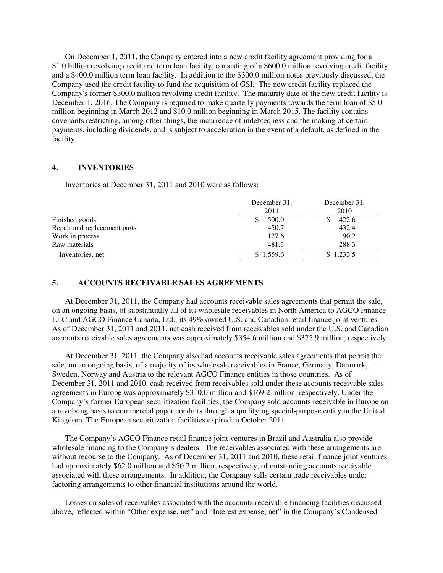On December 1, 2011, the Company entered into a new credit facility agreement providing for a \$1.0 billion revolving credit and term loan facility, consisting of a \$600.0 million revolving credit facility and a \$400.0 million term loan facility. In addition to the \$300.0 million notes previously discussed, the Company used the credit facility to fund the acquisition of GSI. The new credit facility replaced the Company's former \$300.0 million revolving credit facility. The maturity date of the new credit facility is December 1, 2016. The Company is required to make quarterly payments towards the term loan of \$5.0 million beginning in March 2012 and \$10.0 million beginning in March 2015. The facility contains covenants restricting, among other things, the incurrence of indebtedness and the making of certain payments, including dividends, and is subject to acceleration in the event of a default, as defined in the facility.

# **4. INVENTORIES**

Inventories at December 31, 2011 and 2010 were as follows:

|                              | December 31,<br>2011 | December 31.<br>2010 |
|------------------------------|----------------------|----------------------|
| Finished goods               | 500.0                | 422.6                |
| Repair and replacement parts | 450.7                | 432.4                |
| Work in process              | 127.6                | 90.2                 |
| Raw materials                | 481.3                | 288.3                |
| Inventories, net             | \$1,559.6            | \$1,233.5            |

# **5. ACCOUNTS RECEIVABLE SALES AGREEMENTS**

At December 31, 2011, the Company had accounts receivable sales agreements that permit the sale, on an ongoing basis, of substantially all of its wholesale receivables in North America to AGCO Finance LLC and AGCO Finance Canada, Ltd., its 49% owned U.S. and Canadian retail finance joint ventures. As of December 31, 2011 and 2011, net cash received from receivables sold under the U.S. and Canadian accounts receivable sales agreements was approximately \$354.6 million and \$375.9 million, respectively.

At December 31, 2011, the Company also had accounts receivable sales agreements that permit the sale, on an ongoing basis, of a majority of its wholesale receivables in France, Germany, Denmark, Sweden, Norway and Austria to the relevant AGCO Finance entities in those countries. As of December 31, 2011 and 2010, cash received from receivables sold under these accounts receivable sales agreements in Europe was approximately \$310.0 million and \$169.2 million, respectively. Under the Company's former European securitization facilities, the Company sold accounts receivable in Europe on a revolving basis to commercial paper conduits through a qualifying special-purpose entity in the United Kingdom. The European securitization facilities expired in October 2011.

The Company's AGCO Finance retail finance joint ventures in Brazil and Australia also provide wholesale financing to the Company's dealers. The receivables associated with these arrangements are without recourse to the Company. As of December 31, 2011 and 2010, these retail finance joint ventures had approximately \$62.0 million and \$50.2 million, respectively, of outstanding accounts receivable associated with these arrangements. In addition, the Company sells certain trade receivables under factoring arrangements to other financial institutions around the world.

Losses on sales of receivables associated with the accounts receivable financing facilities discussed above, reflected within "Other expense, net" and "Interest expense, net" in the Company's Condensed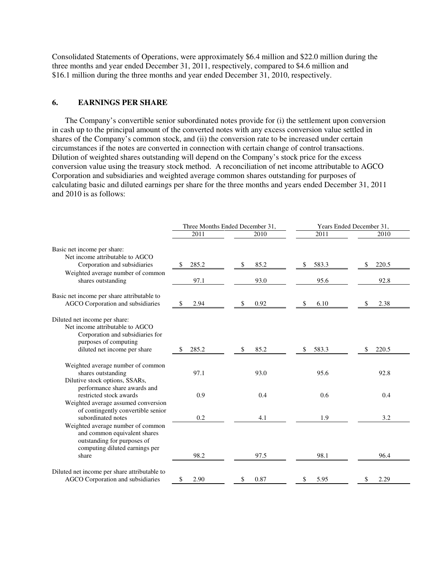Consolidated Statements of Operations, were approximately \$6.4 million and \$22.0 million during the three months and year ended December 31, 2011, respectively, compared to \$4.6 million and \$16.1 million during the three months and year ended December 31, 2010, respectively.

## **6. EARNINGS PER SHARE**

The Company's convertible senior subordinated notes provide for (i) the settlement upon conversion in cash up to the principal amount of the converted notes with any excess conversion value settled in shares of the Company's common stock, and (ii) the conversion rate to be increased under certain circumstances if the notes are converted in connection with certain change of control transactions. Dilution of weighted shares outstanding will depend on the Company's stock price for the excess conversion value using the treasury stock method. A reconciliation of net income attributable to AGCO Corporation and subsidiaries and weighted average common shares outstanding for purposes of calculating basic and diluted earnings per share for the three months and years ended December 31, 2011 and 2010 is as follows:

|                                                                                                                                                               |             | Three Months Ended December 31, | Years Ended December 31, |             |  |
|---------------------------------------------------------------------------------------------------------------------------------------------------------------|-------------|---------------------------------|--------------------------|-------------|--|
|                                                                                                                                                               | 2011        | 2010                            | 2011                     | 2010        |  |
| Basic net income per share:<br>Net income attributable to AGCO<br>Corporation and subsidiaries                                                                | 285.2<br>\$ | 85.2<br>\$                      | 583.3<br>\$              | 220.5<br>\$ |  |
| Weighted average number of common<br>shares outstanding                                                                                                       | 97.1        | 93.0                            | 95.6                     | 92.8        |  |
| Basic net income per share attributable to<br>AGCO Corporation and subsidiaries                                                                               | 2.94<br>\$  | 0.92<br>\$                      | 6.10<br>\$               | 2.38<br>\$  |  |
| Diluted net income per share:<br>Net income attributable to AGCO<br>Corporation and subsidiaries for<br>purposes of computing<br>diluted net income per share | 285.2       | 85.2                            | 583.3<br>S               | 220.5       |  |
| Weighted average number of common<br>shares outstanding<br>Dilutive stock options, SSARs,<br>performance share awards and                                     | 97.1        | 93.0                            | 95.6                     | 92.8        |  |
| restricted stock awards<br>Weighted average assumed conversion<br>of contingently convertible senior                                                          | 0.9         | 0.4                             | 0.6                      | 0.4         |  |
| subordinated notes<br>Weighted average number of common<br>and common equivalent shares<br>outstanding for purposes of<br>computing diluted earnings per      | 0.2         | 4.1                             | 1.9                      | 3.2         |  |
| share                                                                                                                                                         | 98.2        | 97.5                            | 98.1                     | 96.4        |  |
| Diluted net income per share attributable to<br>AGCO Corporation and subsidiaries                                                                             | \$<br>2.90  | 0.87<br>\$                      | 5.95<br>\$               | \$<br>2.29  |  |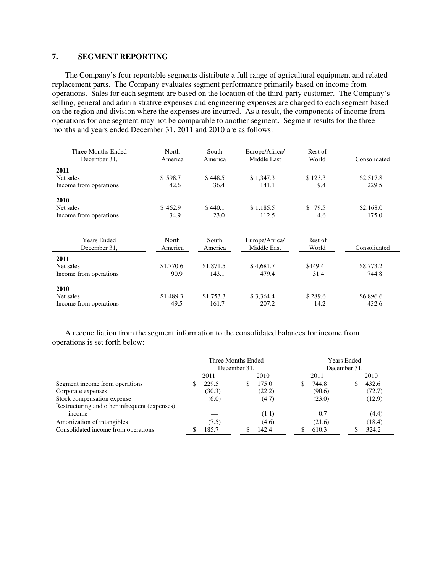# **7. SEGMENT REPORTING**

The Company's four reportable segments distribute a full range of agricultural equipment and related replacement parts. The Company evaluates segment performance primarily based on income from operations. Sales for each segment are based on the location of the third-party customer. The Company's selling, general and administrative expenses and engineering expenses are charged to each segment based on the region and division where the expenses are incurred. As a result, the components of income from operations for one segment may not be comparable to another segment. Segment results for the three months and years ended December 31, 2011 and 2010 are as follows:

| Three Months Ended<br>December 31, | North<br>America | South<br>America | Europe/Africa/<br>Middle East | Rest of<br>World | Consolidated |
|------------------------------------|------------------|------------------|-------------------------------|------------------|--------------|
| 2011                               |                  |                  |                               |                  |              |
| Net sales                          | \$598.7          | \$448.5          | \$1,347.3                     | \$123.3          | \$2,517.8    |
| Income from operations             | 42.6             | 36.4             | 141.1                         | 9.4              | 229.5        |
| 2010                               |                  |                  |                               |                  |              |
| Net sales                          | \$462.9          | \$440.1          | \$1,185.5                     | \$<br>79.5       | \$2,168.0    |
| Income from operations             | 34.9             | 23.0             | 112.5                         | 4.6              | 175.0        |
|                                    |                  |                  |                               |                  |              |
| <b>Years Ended</b>                 | North            | South            | Europe/Africa/                | Rest of          |              |
| December 31.                       | America          | America          | Middle East                   | World            | Consolidated |
| 2011                               |                  |                  |                               |                  |              |
| Net sales                          | \$1,770.6        | \$1,871.5        | \$4,681.7                     | \$449.4          | \$8,773.2    |
| Income from operations             | 90.9             | 143.1            | 479.4                         | 31.4             | 744.8        |
| 2010                               |                  |                  |                               |                  |              |
| Net sales                          | \$1,489.3        | \$1,753.3        | \$3,364.4                     | \$289.6          | \$6,896.6    |
| Income from operations             | 49.5             | 161.7            | 207.2                         | 14.2             | 432.6        |

A reconciliation from the segment information to the consolidated balances for income from operations is set forth below:

|                                               | Three Months Ended<br>December 31. |        |   | <b>Years Ended</b><br>December 31. |     |        |  |        |
|-----------------------------------------------|------------------------------------|--------|---|------------------------------------|-----|--------|--|--------|
|                                               |                                    | 2011   |   | 2010                               |     | 2011   |  | 2010   |
| Segment income from operations                |                                    | 229.5  | Ъ | 175.0                              | ۰D. | 744.8  |  | 432.6  |
| Corporate expenses                            |                                    | (30.3) |   | (22.2)                             |     | (90.6) |  | (72.7) |
| Stock compensation expense                    |                                    | (6.0)  |   | (4.7)                              |     | (23.0) |  | (12.9) |
| Restructuring and other infrequent (expenses) |                                    |        |   |                                    |     |        |  |        |
| income                                        |                                    |        |   | (1.1)                              |     | 0.7    |  | (4.4)  |
| Amortization of intangibles                   |                                    | (7.5)  |   | (4.6)                              |     | (21.6) |  | (18.4) |
| Consolidated income from operations           |                                    | 185.7  |   | 142.4                              |     | 610.3  |  | 324.2  |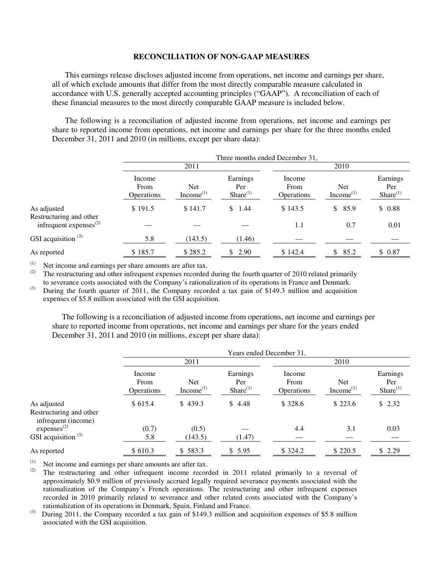#### **RECONCILIATION OF NON-GAAP MEASURES**

This earnings release discloses adjusted income from operations, net income and earnings per share, all of which exclude amounts that differ from the most directly comparable measure calculated in accordance with U.S. generally accepted accounting principles ("GAAP"). A reconciliation of each of these financial measures to the most directly comparable GAAP measure is included below.

The following is a reconciliation of adjusted income from operations, net income and earnings per share to reported income from operations, net income and earnings per share for the three months ended December 31, 2011 and 2010 (in millions, except per share data):

|                                                         |                              | Three months ended December 31, |                                |                              |                               |                                  |  |  |
|---------------------------------------------------------|------------------------------|---------------------------------|--------------------------------|------------------------------|-------------------------------|----------------------------------|--|--|
|                                                         |                              | 2011                            |                                |                              | 2010                          |                                  |  |  |
|                                                         | Income<br>From<br>Operations | Net<br>Income <sup>(1)</sup>    | Earnings<br>Per<br>Share $(1)$ | Income<br>From<br>Operations | Net.<br>Income <sup>(1)</sup> | Earnings<br>Per<br>$Share^{(1)}$ |  |  |
| As adjusted                                             | \$191.5                      | \$141.7                         | \$.<br>1.44                    | \$143.5                      | \$85.9                        | \$0.88                           |  |  |
| Restructuring and other<br>infrequent expenses $^{(2)}$ |                              |                                 |                                | 1.1                          | 0.7                           | 0.01                             |  |  |
| GSI acquisition $(3)$                                   | 5.8                          | (143.5)                         | (1.46)                         |                              |                               |                                  |  |  |
| As reported                                             | \$185.7                      | \$285.2                         | 2.90<br>\$                     | \$142.4                      | 85.2<br>\$                    | \$0.87                           |  |  |

(1) Net income and earnings per share amounts are after tax.

The restructuring and other infrequent expenses recorded during the fourth quarter of 2010 related primarily to severance costs associated with the Company's rationalization of its operations in France and Denmark. (3) During the fourth quarter of 2011, the Company recorded a tax gain of \$149.3 million and acquisition

expenses of \$5.8 million associated with the GSI acquisition.

 The following is a reconciliation of adjusted income from operations, net income and earnings per share to reported income from operations, net income and earnings per share for the years ended December 31, 2011 and 2010 (in millions, except per share data):

|                                                |                                     | Years ended December 31,      |                                |                                     |                                     |                                   |  |  |
|------------------------------------------------|-------------------------------------|-------------------------------|--------------------------------|-------------------------------------|-------------------------------------|-----------------------------------|--|--|
|                                                |                                     | 2011                          |                                |                                     | 2010                                |                                   |  |  |
|                                                | Income<br>From<br><b>Operations</b> | <b>Net</b><br>Income $^{(1)}$ | Earnings<br>Per<br>Share $(1)$ | Income<br>From<br><b>Operations</b> | <b>Net</b><br>Income <sup>(1)</sup> | Earnings<br>Per<br>Share $^{(1)}$ |  |  |
| As adjusted                                    | \$615.4                             | \$439.3                       | \$4.48                         | \$328.6                             | \$223.6                             | \$2.32                            |  |  |
| Restructuring and other<br>infrequent (income) |                                     |                               |                                |                                     |                                     |                                   |  |  |
| express <sup>(2)</sup>                         | (0.7)                               | (0.5)                         |                                | 4.4                                 | 3.1                                 | 0.03                              |  |  |
| GSI acquisition $(3)$                          | 5.8                                 | (143.5)                       | (1.47)                         |                                     |                                     |                                   |  |  |
| As reported                                    | \$610.3                             | \$583.3                       | \$5.95                         | \$324.2                             | \$220.5                             | \$2.29                            |  |  |

(1) Net income and earnings per share amounts are after tax.

The restructuring and other infrequent income recorded in 2011 related primarily to a reversal of approximately \$0.9 million of previously accrued legally required severance payments associated with the rationalization of the Company's French operations. The restructuring and other infrequent expenses recorded in 2010 primarily related to severance and other related costs associated with the Company's rationalization of its operations in Denmark, Spain, Finland and France.

(3) During 2011, the Company recorded a tax gain of \$149.3 million and acquisition expenses of \$5.8 million associated with the GSI acquisition.